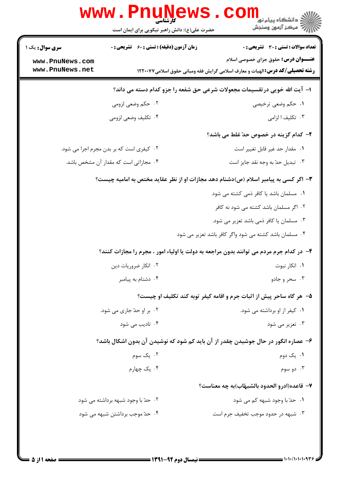|                                                                           | www . Pni<br>کارشناسی<br>حضرت علی(ع): دانش راهبر نیکویی برای ایمان است | دانشگاه پيام نور<br> چ=دانشگاه پيام نور<br> چ=مرکز آزمون وسنجش                                                                     |  |  |
|---------------------------------------------------------------------------|------------------------------------------------------------------------|------------------------------------------------------------------------------------------------------------------------------------|--|--|
| <b>سری سوال :</b> یک ۱                                                    | <b>زمان آزمون (دقیقه) : تستی : 60 ٪ تشریحی : 0</b>                     | تعداد سوالات : تستى : 30 - تشريحي : 0                                                                                              |  |  |
| www.PnuNews.com<br>www.PnuNews.net                                        |                                                                        | <b>عنـــوان درس:</b> حقوق جزای خصوصی اسلام<br><b>رشته تحصیلی/کد درس:</b> الهیات و معارف اسلامی گرایش فقه ومبانی حقوق اسلامی۱۲۲۰۰۷۷ |  |  |
| ا- آیت الله خویی درتقسیمات مجعولات شرعی حق شفعه را جزو کدام دسته می داند؟ |                                                                        |                                                                                                                                    |  |  |
|                                                                           | ۰۲ حکم وضعی لزومی                                                      | ۱. حکم وضعی ترخیصی                                                                                                                 |  |  |
|                                                                           | ۰۴ تكليف وضعى لزومى                                                    | ۰۳ تکلیف ا لزامی                                                                                                                   |  |  |
|                                                                           |                                                                        | <b>۲</b> - کدام گزینه در خصوص حدّ غلط می باشد؟                                                                                     |  |  |
| ۰۲ کیفری است که بر بدن مجرم اجرا می شود.                                  |                                                                        | ٠١. مقدار حد غير قابل تغيير است                                                                                                    |  |  |
|                                                                           | ۰۴ مجازاتی است که مقدار آن مشخص باشد.                                  | ۰۳ تبدیل حدّ به وجه نقد جایز است                                                                                                   |  |  |
|                                                                           |                                                                        | ۳- اگر کسی به پیامبر اسلام (ص)دشنام دهد مجازات او از نظر عقاید مختص به امامیه چیست؟                                                |  |  |
|                                                                           |                                                                        | ۰۱ مسلمان باشد یا کافر ذمی کشته می شود                                                                                             |  |  |
|                                                                           |                                                                        | ۰۲ اگر مسلمان باشد کشته می شود نه کافر                                                                                             |  |  |
|                                                                           |                                                                        | ۰۳ مسلمان یا کافر ذمی باشد تعزیر می شود.                                                                                           |  |  |
|                                                                           |                                                                        | ۰۴ مسلمان باشد کشته می شود واگر کافر باشد تعزیر می شود                                                                             |  |  |
|                                                                           |                                                                        | ۴- در کدام جرم مردم می توانند بدون مراجعه به دولت یا اولیاء امور ، مجرم را مجازات کنند؟                                            |  |  |
|                                                                           | ٠٢ انكار ضروريات دين                                                   | ۰۱ انکار نبوت                                                                                                                      |  |  |
|                                                                           | ۰۴ دشنام به پیامبر                                                     | ۰۳ سحر و جادو                                                                                                                      |  |  |
|                                                                           |                                                                        | ۵- هر گاه ساحر پیش از اثبات جرم و اقامه کیفر توبه کند تکلیف او چیست؟                                                               |  |  |
|                                                                           | ۰۲ بر او حدّ جاری می شود.                                              | ۰۱ کیفر از او برداشته می شود.                                                                                                      |  |  |
|                                                                           | ۰۴ تادیب می شود <b>۴</b>                                               | ۰۳ تعزیر می شود                                                                                                                    |  |  |
|                                                                           |                                                                        | ۶– عصاره انگور در حال جوشیدن چقدر از آن باید کم شود که نوشیدن آن بدون اشکال باشد؟                                                  |  |  |
|                                                                           | ۰۲ یک سوم                                                              | ۰۱ یک دوم                                                                                                                          |  |  |
|                                                                           | ۰۴ یک چهارم                                                            | ۰۳ دو سوم                                                                                                                          |  |  |
|                                                                           |                                                                        | ٧– قاعده(ادرو الحدود بالشبهّاب)به چه معناست؟                                                                                       |  |  |
|                                                                           | ۰۲ حدّ با وجود شبهه برداشته می شود                                     | ۰۱ حدّ با وجود شبهه کم می شود                                                                                                      |  |  |
|                                                                           | ۰۴ حدّ موجب برداشتن شبهه می شود                                        | ۰۳ شبهه در حدود موجب تخفیف جرم است                                                                                                 |  |  |
|                                                                           |                                                                        |                                                                                                                                    |  |  |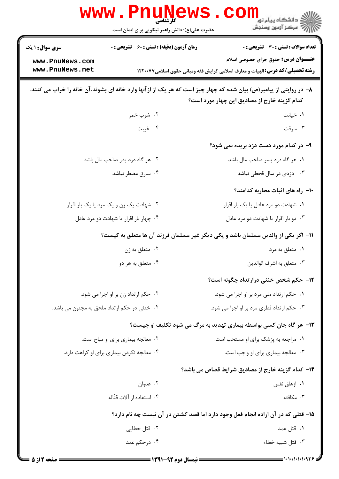|                                              | www.PnuNews<br>حضرت علی(ع): دانش راهبر نیکویی برای ایمان است | ڪ دانشڪاه پيا <sub>م</sub> نور<br><mark>∕</mark> > مرڪز آزمون وسنڊش                                                                                                 |  |
|----------------------------------------------|--------------------------------------------------------------|---------------------------------------------------------------------------------------------------------------------------------------------------------------------|--|
| <b>سری سوال : ۱ یک</b>                       | <b>زمان آزمون (دقیقه) : تستی : 60 ٪ تشریحی : 0</b>           | <b>تعداد سوالات : تستی : 30 ٪ تشریحی : 0</b>                                                                                                                        |  |
| www.PnuNews.com                              |                                                              | <b>عنـــوان درس:</b> حقوق جزای خصوصی اسلام                                                                                                                          |  |
| www.PnuNews.net                              |                                                              | <b>رشته تحصیلی/کد درس: ا</b> لهیات و معارف اسلامی گرایش فقه ومبانی حقوق اسلامی۱۲۲۰۰۷۷                                                                               |  |
|                                              |                                                              | ۸– در روایتی از پیامبر(ص) بیان شده که چهار چیز است که هر یک از از آنها وارد خانه ای بشوند، آن خانه را خراب می کنند.<br>کدام گزینه خارج از مصادیق این چهار مورد است؟ |  |
|                                              | ۰۲ شرب خمر                                                   | ۰۱ خیانت                                                                                                                                                            |  |
|                                              | ۰۴ غيبت                                                      | ۰۳ سرقت                                                                                                                                                             |  |
|                                              |                                                              | ۹– در کدام مورد دست دزد بریده <u>نمی شود؟</u>                                                                                                                       |  |
| ۰۲ هر گاه دزد پدر صاحب مال باشد              |                                                              | ٠١ هر گاه دزد پسر صاحب مال باشد                                                                                                                                     |  |
|                                              | ۰۴ سارق مضطر نباشد                                           | ۰۳ دزدی در سال قحطی نباشد                                                                                                                                           |  |
|                                              |                                                              | +۱- راه های اثبات محاربه کدامند؟                                                                                                                                    |  |
| ۰۲ شهادت یک زن و یک مرد یا یک بار اقرار      |                                                              | ۰۱ شهادت دو مرد عادل یا یک بار اقرار                                                                                                                                |  |
| ۰۴ چهار بار اقرار یا شهادت دو مرد عادل       |                                                              | ۰۳ دو بار اقرار یا شهادت دو مرد عادل                                                                                                                                |  |
|                                              |                                                              | 1۱– اگر یکی از والدین مسلمان باشد و یکی دیگر غیر مسلمان فرزند آن ها متعلق به کیست؟                                                                                  |  |
|                                              | ۰۲ متعلق به زن                                               | ۰۱ متعلق به مرد                                                                                                                                                     |  |
|                                              | ۰۴ متعلق به هر دو                                            | ۰۳ متعلق به اشرف الوالدين                                                                                                                                           |  |
|                                              |                                                              | <b>۱۲</b> - حکم شخص خنثی درارتداد چگونه است؟                                                                                                                        |  |
| ۰۲ حکم ارتداد زن بر او اجرا می شود.          |                                                              | ۰۱ حکم ارتداد ملی مرد بر او اجرا می شود.                                                                                                                            |  |
| ۰۴ خنثی در حکم ارتداد ملحق به مجنون می باشد. |                                                              | ۰۳ حکم ارتداد فطری مرد بر او اجرا می شود.                                                                                                                           |  |
|                                              |                                                              | ۱۳- هر گاه جان کسی بواسطه بیماری تهدید به مرگ می شود تکلیف او چیست؟                                                                                                 |  |
| ۰۲ معالجه بیماری برای او مباح است.           |                                                              | ۰۱ مراجعه به پزشک برای او مستحب است.                                                                                                                                |  |
| ۰۴ معالجه نکردن بیماری برای او کراهت دارد.   |                                                              | ۰۳ معالجه بیماری برای او واجب است.                                                                                                                                  |  |
|                                              |                                                              | <b>۱۴</b> – کدام گزینه خارج از مصادیق شرایط قصاص می باشد؟                                                                                                           |  |
|                                              | ۰۲ عدوان                                                     | ۰۱ ازهاق نفس                                                                                                                                                        |  |
|                                              | ۰۴ استفاده از آلات قتّاله                                    | ۰۳ مکافئه                                                                                                                                                           |  |
|                                              |                                                              | ۱۵– قتلی که در آن اراده انجام فعل وجود دارد اما قصد کشتن در آن نیست چه نام دارد؟                                                                                    |  |
|                                              | ۰۲ قتل خطایی                                                 | ۰۱ قتل عمد                                                                                                                                                          |  |
|                                              | ۰۴ درحکم عمد                                                 | ۰۳ قتل شبيه خطاء                                                                                                                                                    |  |
|                                              |                                                              |                                                                                                                                                                     |  |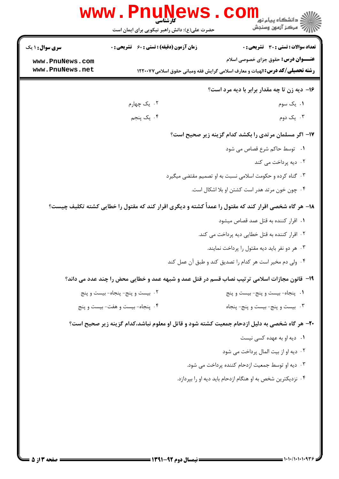|                                    | <b>www.Pnunew</b><br>حضرت علی(ع): دانش راهبر نیکویی برای ایمان است | ≦ دانشگاه پیام نو <mark>ر</mark><br>رآب مرڪز آزمون وسنڊش                                                                            |
|------------------------------------|--------------------------------------------------------------------|-------------------------------------------------------------------------------------------------------------------------------------|
| <b>سری سوال :</b> ۱ یک             | <b>زمان آزمون (دقیقه) : تستی : 60 ٪ تشریحی : 0</b>                 | <b>تعداد سوالات : تستی : 30 ٪ تشریحی : 0</b>                                                                                        |
| www.PnuNews.com<br>www.PnuNews.net |                                                                    | <b>عنـــوان درس:</b> حقوق جزای خصوصی اسلام<br><b>رشته تحصیلی/کد درس: ا</b> لهیات و معارف اسلامی گرایش فقه ومبانی حقوق اسلامی۱۲۲۰۰۷۷ |
|                                    |                                                                    | ۱۶- دیه زن تا چه مقدار برابر با دیه مرد است؟                                                                                        |
|                                    | ۰۲ یک چهارم                                                        | ۰۱ یک سوم                                                                                                                           |
|                                    | ۰۴ یک پنجم                                                         | ۰۳ يک دوم                                                                                                                           |
|                                    |                                                                    | ۱۷- اگر مسلمان مرتدی را بکشد کدام گزینه زیر صحیح است؟                                                                               |
|                                    |                                                                    | ٠١ توسط حاكم شرع قصاص مى شود                                                                                                        |
|                                    |                                                                    | ۰۲ دیه پرداخت می کند                                                                                                                |
|                                    |                                                                    | ۰۳ گناه کرده و حکومت اسلامی نسبت به او تصمیم مقتضی میگیرد                                                                           |
|                                    |                                                                    | ۰۴ چون خون مرتد هدر است کشتن او بلا اشکال است.                                                                                      |
|                                    |                                                                    | ۱۸- هر گاه شخصی اقرار کند که مقتول را عمداً کشته و دیگری اقرار کند که مقتول را خطایی کشته تکلیف چیست؟                               |
|                                    |                                                                    | ۰۱ اقرار کننده به قتل عمد قصاص میشود                                                                                                |
|                                    |                                                                    | ۰۲ اقرار کننده به قتل خطایی دیه پرداخت می کند.                                                                                      |
|                                    |                                                                    | ۰۳ هر دو نفر باید دیه مقتول را پرداخت نمایند.                                                                                       |
|                                    |                                                                    | ۰۴ ولی دم مخیر است هر کدام را تصدیق کند و طبق آن عمل کند                                                                            |
|                                    |                                                                    | ۱۹- قانون مجازات اسلامی ترتیب نصاب قسم در قتل عمد و شبهه عمد و خطایی محض را چند عدد می داند؟                                        |
|                                    | ۰۲ بیست و پنج- پنجاه- بیست و پنج                                   | ٠١. پنجاه- بيست و پنج- بيست و پنج                                                                                                   |
|                                    | ۰۴ پنجاه- بيست و هفت- بيست و پنج                                   | ۰۳ بیست و پنج-بیست و پنج- پنجاه                                                                                                     |
|                                    |                                                                    | +۲- هر گاه شخصی به دلیل ازدحام جمعیت کشته شود و قاتل او معلوم نباشد،کدام گزینه زیر صحیح است؟                                        |
|                                    |                                                                    | ۰۱ دیه او به عهده کسی نیست                                                                                                          |
|                                    |                                                                    | ۰۲ دیه او از بیت المال پرداخت می شود                                                                                                |
|                                    |                                                                    | ۰۳ دیه او توسط جمعیت ازدحام کننده پرداخت می شود.                                                                                    |
|                                    |                                                                    | ۰۴ نزدیکترین شخص به او هنگام ازدحام باید دیه او را بپردازد.                                                                         |
|                                    |                                                                    |                                                                                                                                     |
|                                    |                                                                    |                                                                                                                                     |
|                                    |                                                                    |                                                                                                                                     |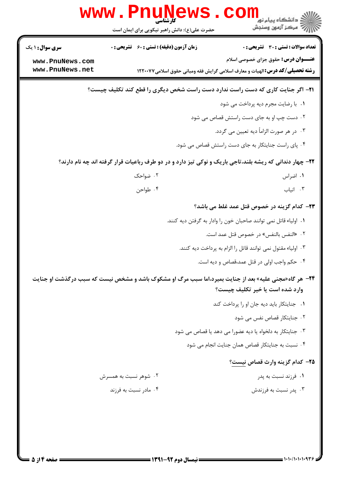|                                                              | <b>www.rnune</b><br>كارشتاسي.<br>حضرت علی(ع): دانش راهبر نیکویی برای ایمان است                                       | د دانشگاه پیام نور<br>ا∛ مرکز آزمون وسنجش                                                                                                                                                |
|--------------------------------------------------------------|----------------------------------------------------------------------------------------------------------------------|------------------------------------------------------------------------------------------------------------------------------------------------------------------------------------------|
| <b>سری سوال : ۱ یک</b><br>www.PnuNews.com<br>www.PnuNews.net | <b>زمان آزمون (دقیقه) : تستی : 60 ٪ تشریحی : 0</b>                                                                   | تعداد سوالات : تستى : 30 ٪ تشريحي : 0<br><b>عنـــوان درس:</b> حقوق جزای خصوصی اسلام<br><b>رشته تحصیلی/کد درس:</b> الهیات و معارف اسلامی گرایش فقه ومبانی حقوق اسلامی۱۲۲۰۰۷۷              |
|                                                              | <b>۲۱</b> - اگر جنایت کاری که دست راست ندارد دست راست شخص دیگری را قطع کند تکلیف چیست؟                               |                                                                                                                                                                                          |
|                                                              |                                                                                                                      | ٠١. با رضايت مجرم ديه پرداخت مي شود<br>۰۲ دست چپ او به جای دست راستش قصاص می شود<br>۰۳ در هر صورت الزاماً ديه تعيين مي گردد.                                                             |
|                                                              |                                                                                                                      | ۰۴ پای راست جنایتکار به جای دست راستش قصاص می شود.                                                                                                                                       |
|                                                              | ۲۲- چهار دندانی که ریشه بلند،تاجی باریک و نوکی تیز دارد و در دو طرف رباعیات قرار گرفته اند چه نام دارند؟<br>۰۲ ضواحک | ۰۱ اضراس                                                                                                                                                                                 |
|                                                              | ۰۴ طواحن                                                                                                             | ۰۳ انیاب                                                                                                                                                                                 |
|                                                              |                                                                                                                      | <b>۲۳</b> - کدام گزینه در خصوص قتل عمد غلط می باشد؟<br>٠١. اولياء قاتل نمي توانند صاحبان خون را وادار به گرفتن ديه كنند.<br>۰۲ «النفس بالنفس» در خصوص قتل عمد است.                       |
|                                                              |                                                                                                                      | ۰۳ اولیاء مقتول نمی توانند قاتل را الزام به پرداخت دیه کنند.<br>۰۴ حکم واجب اولی در قتل عمد،قصاص و دیه است.                                                                              |
|                                                              | <b>34- هر گاه«مجنی علیه» بعد از جنایت بمیرد،اما سبب مرگ او مشکوک باشد و مشخص نیست که سبب درگذشت او جنایت</b>         | وارد شده است یا خیر تکلیف چیست؟                                                                                                                                                          |
|                                                              |                                                                                                                      | ۰۱ جنایتکار باید دیه جان او را پرداخت کند<br>٠٢ جنايتكار قصاص نفس مى شود<br>۰۳ جنایتکار به دلخواه یا دیه عضورا می دهد یا قصاص می شود<br>۰۴ نسبت به جنایتکار قصاص همان جنایت انجام می شود |
|                                                              |                                                                                                                      | ۲۵– کدام گزینه وارث قصاص نیست؟                                                                                                                                                           |
|                                                              | ۲. شوهر نسبت به همسرش<br>۰۴ مادر نسبت به فرزند                                                                       | ۰۱ فرزند نسبت به پدر<br>۰۳ پدر نسبت به فرزندش                                                                                                                                            |
|                                                              |                                                                                                                      |                                                                                                                                                                                          |